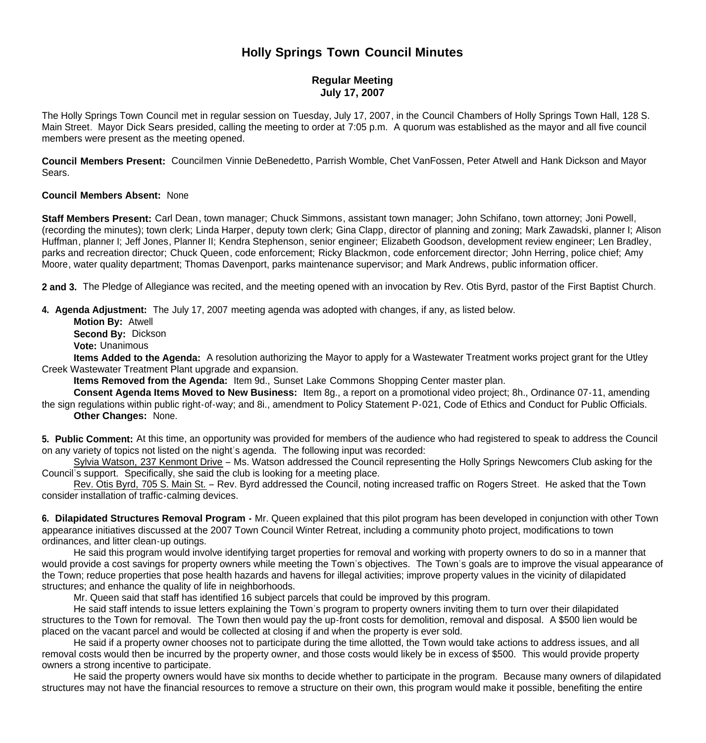## **Holly Springs Town Council Minutes**

## **Regular Meeting July 17, 2007**

The Holly Springs Town Council met in regular session on Tuesday, July 17, 2007, in the Council Chambers of Holly Springs Town Hall, 128 S. Main Street. Mayor Dick Sears presided, calling the meeting to order at 7:05 p.m. A quorum was established as the mayor and all five council members were present as the meeting opened.

**Council Members Present:** Councilmen Vinnie DeBenedetto, Parrish Womble, Chet VanFossen, Peter Atwell and Hank Dickson and Mayor Sears.

## **Council Members Absent:** None

**Staff Members Present:** Carl Dean, town manager; Chuck Simmons, assistant town manager; John Schifano, town attorney; Joni Powell, (recording the minutes); town clerk; Linda Harper, deputy town clerk; Gina Clapp, director of planning and zoning; Mark Zawadski, planner I; Alison Huffman, planner I; Jeff Jones, Planner II; Kendra Stephenson, senior engineer; Elizabeth Goodson, development review engineer; Len Bradley, parks and recreation director; Chuck Queen, code enforcement; Ricky Blackmon, code enforcement director; John Herring, police chief; Amy Moore, water quality department; Thomas Davenport, parks maintenance supervisor; and Mark Andrews, public information officer.

**2 and 3.** The Pledge of Allegiance was recited, and the meeting opened with an invocation by Rev. Otis Byrd, pastor of the First Baptist Church.

**4. Agenda Adjustment:** The July 17, 2007 meeting agenda was adopted with changes, if any, as listed below.

 **Motion By:** Atwell **Second By:** Dickson

**Vote:** Unanimous

 **Items Added to the Agenda:** A resolution authorizing the Mayor to apply for a Wastewater Treatment works project grant for the Utley Creek Wastewater Treatment Plant upgrade and expansion.

**Items Removed from the Agenda:** Item 9d., Sunset Lake Commons Shopping Center master plan.

 **Consent Agenda Items Moved to New Business:** Item 8g., a report on a promotional video project; 8h., Ordinance 07-11, amending the sign regulations within public right-of-way; and 8i., amendment to Policy Statement P-021, Code of Ethics and Conduct for Public Officials. **Other Changes:** None.

**5. Public Comment:** At this time, an opportunity was provided for members of the audience who had registered to speak to address the Council on any variety of topics not listed on the night's agenda. The following input was recorded:

 Sylvia Watson, 237 Kenmont Drive – Ms. Watson addressed the Council representing the Holly Springs Newcomers Club asking for the Council's support. Specifically, she said the club is looking for a meeting place.

 Rev. Otis Byrd, 705 S. Main St. – Rev. Byrd addressed the Council, noting increased traffic on Rogers Street. He asked that the Town consider installation of traffic-calming devices.

**6. Dilapidated Structures Removal Program -** Mr. Queen explained that this pilot program has been developed in conjunction with other Town appearance initiatives discussed at the 2007 Town Council Winter Retreat, including a community photo project, modifications to town ordinances, and litter clean-up outings.

 He said this program would involve identifying target properties for removal and working with property owners to do so in a manner that would provide a cost savings for property owners while meeting the Town's objectives. The Town's goals are to improve the visual appearance of the Town; reduce properties that pose health hazards and havens for illegal activities; improve property values in the vicinity of dilapidated structures; and enhance the quality of life in neighborhoods.

Mr. Queen said that staff has identified 16 subject parcels that could be improved by this program.

 He said staff intends to issue letters explaining the Town's program to property owners inviting them to turn over their dilapidated structures to the Town for removal. The Town then would pay the up-front costs for demolition, removal and disposal. A \$500 lien would be placed on the vacant parcel and would be collected at closing if and when the property is ever sold.

 He said if a property owner chooses not to participate during the time allotted, the Town would take actions to address issues, and all removal costs would then be incurred by the property owner, and those costs would likely be in excess of \$500. This would provide property owners a strong incentive to participate.

 He said the property owners would have six months to decide whether to participate in the program. Because many owners of dilapidated structures may not have the financial resources to remove a structure on their own, this program would make it possible, benefiting the entire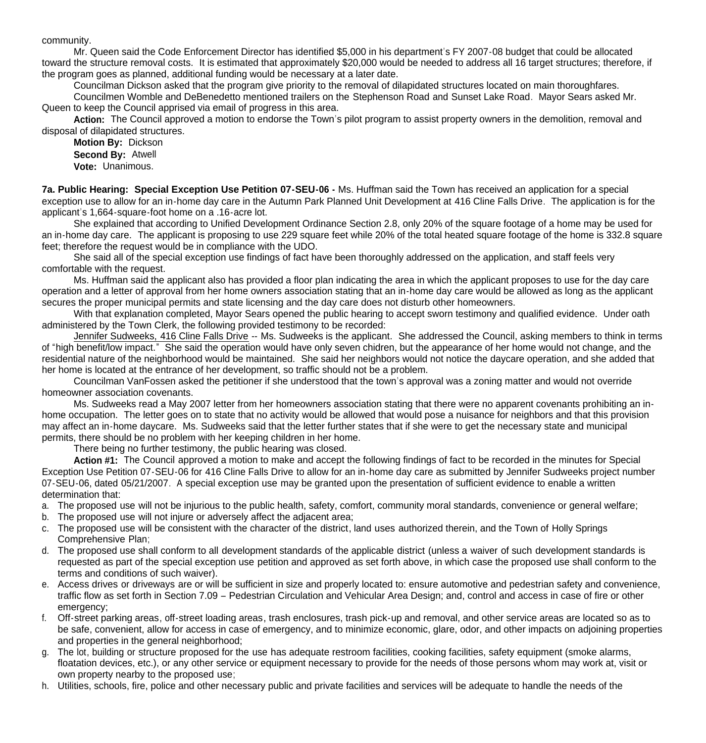community.

 Mr. Queen said the Code Enforcement Director has identified \$5,000 in his department's FY 2007-08 budget that could be allocated toward the structure removal costs. It is estimated that approximately \$20,000 would be needed to address all 16 target structures; therefore, if the program goes as planned, additional funding would be necessary at a later date.

Councilman Dickson asked that the program give priority to the removal of dilapidated structures located on main thoroughfares.

 Councilmen Womble and DeBenedetto mentioned trailers on the Stephenson Road and Sunset Lake Road. Mayor Sears asked Mr. Queen to keep the Council apprised via email of progress in this area.

 **Action:** The Council approved a motion to endorse the Town's pilot program to assist property owners in the demolition, removal and disposal of dilapidated structures.

**Motion By:** Dickson **Second By:** Atwell **Vote:** Unanimous.

**7a. Public Hearing: Special Exception Use Petition 07-SEU-06 -** Ms. Huffman said the Town has received an application for a special exception use to allow for an in-home day care in the Autumn Park Planned Unit Development at 416 Cline Falls Drive. The application is for the applicant's 1,664-square-foot home on a .16-acre lot.

 She explained that according to Unified Development Ordinance Section 2.8, only 20% of the square footage of a home may be used for an in-home day care. The applicant is proposing to use 229 square feet while 20% of the total heated square footage of the home is 332.8 square feet; therefore the request would be in compliance with the UDO.

 She said all of the special exception use findings of fact have been thoroughly addressed on the application, and staff feels very comfortable with the request.

 Ms. Huffman said the applicant also has provided a floor plan indicating the area in which the applicant proposes to use for the day care operation and a letter of approval from her home owners association stating that an in-home day care would be allowed as long as the applicant secures the proper municipal permits and state licensing and the day care does not disturb other homeowners.

With that explanation completed, Mayor Sears opened the public hearing to accept sworn testimony and qualified evidence. Under oath administered by the Town Clerk, the following provided testimony to be recorded:

Jennifer Sudweeks, 416 Cline Falls Drive -- Ms. Sudweeks is the applicant. She addressed the Council, asking members to think in terms of "high benefit/low impact." She said the operation would have only seven chidren, but the appearance of her home would not change, and the residential nature of the neighborhood would be maintained. She said her neighbors would not notice the daycare operation, and she added that her home is located at the entrance of her development, so traffic should not be a problem.

Councilman VanFossen asked the petitioner if she understood that the town's approval was a zoning matter and would not override homeowner association covenants.

Ms. Sudweeks read a May 2007 letter from her homeowners association stating that there were no apparent covenants prohibiting an inhome occupation. The letter goes on to state that no activity would be allowed that would pose a nuisance for neighbors and that this provision may affect an in-home daycare. Ms. Sudweeks said that the letter further states that if she were to get the necessary state and municipal permits, there should be no problem with her keeping children in her home.

There being no further testimony, the public hearing was closed.

 **Action #1:** The Council approved a motion to make and accept the following findings of fact to be recorded in the minutes for Special Exception Use Petition 07-SEU-06 for 416 Cline Falls Drive to allow for an in-home day care as submitted by Jennifer Sudweeks project number 07-SEU-06, dated 05/21/2007. A special exception use may be granted upon the presentation of sufficient evidence to enable a written determination that:

- a. The proposed use will not be injurious to the public health, safety, comfort, community moral standards, convenience or general welfare;
- b. The proposed use will not injure or adversely affect the adjacent area;
- c. The proposed use will be consistent with the character of the district, land uses authorized therein, and the Town of Holly Springs Comprehensive Plan;
- d. The proposed use shall conform to all development standards of the applicable district (unless a waiver of such development standards is requested as part of the special exception use petition and approved as set forth above, in which case the proposed use shall conform to the terms and conditions of such waiver).
- e. Access drives or driveways are or will be sufficient in size and properly located to: ensure automotive and pedestrian safety and convenience, traffic flow as set forth in Section 7.09 – Pedestrian Circulation and Vehicular Area Design; and, control and access in case of fire or other emergency:
- f. Off-street parking areas, off-street loading areas, trash enclosures, trash pick-up and removal, and other service areas are located so as to be safe, convenient, allow for access in case of emergency, and to minimize economic, glare, odor, and other impacts on adjoining properties and properties in the general neighborhood;
- g. The lot, building or structure proposed for the use has adequate restroom facilities, cooking facilities, safety equipment (smoke alarms, floatation devices, etc.), or any other service or equipment necessary to provide for the needs of those persons whom may work at, visit or own property nearby to the proposed use;
- h. Utilities, schools, fire, police and other necessary public and private facilities and services will be adequate to handle the needs of the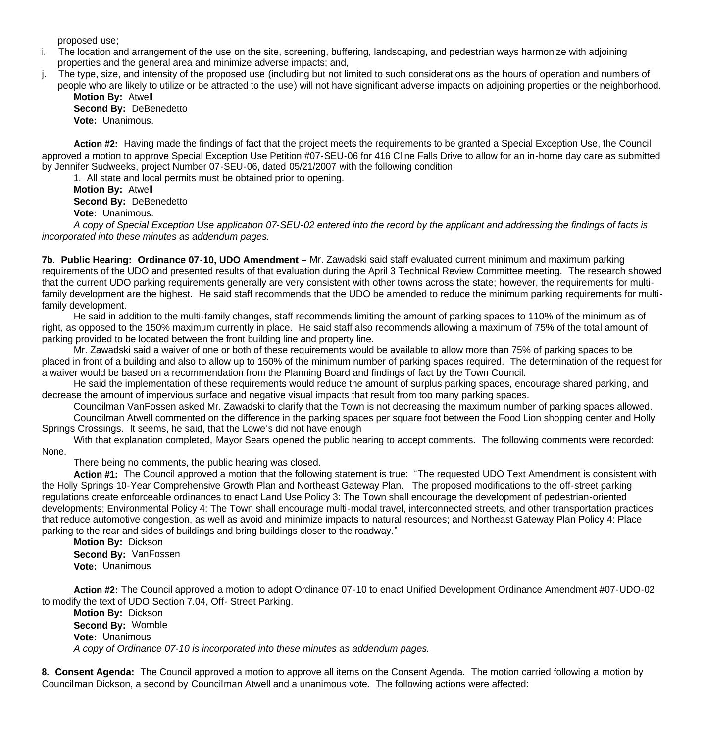proposed use;

- i. The location and arrangement of the use on the site, screening, buffering, landscaping, and pedestrian ways harmonize with adjoining properties and the general area and minimize adverse impacts; and,
- j. The type, size, and intensity of the proposed use (including but not limited to such considerations as the hours of operation and numbers of people who are likely to utilize or be attracted to the use) will not have significant adverse impacts on adjoining properties or the neighborhood.

 **Motion By:** Atwell **Second By:** DeBenedetto **Vote:** Unanimous.

 **Action #2:** Having made the findings of fact that the project meets the requirements to be granted a Special Exception Use, the Council approved a motion to approve Special Exception Use Petition #07-SEU-06 for 416 Cline Falls Drive to allow for an in-home day care as submitted by Jennifer Sudweeks, project Number 07-SEU-06, dated 05/21/2007 with the following condition.

1. All state and local permits must be obtained prior to opening.

**Motion By:** Atwell **Second By:** DeBenedetto **Vote:** Unanimous.

*A copy of Special Exception Use application 07-SEU-02 entered into the record by the applicant and addressing the findings of facts is incorporated into these minutes as addendum pages.*

**7b. Public Hearing: Ordinance 07-10, UDO Amendment –** Mr. Zawadski said staff evaluated current minimum and maximum parking requirements of the UDO and presented results of that evaluation during the April 3 Technical Review Committee meeting. The research showed that the current UDO parking requirements generally are very consistent with other towns across the state; however, the requirements for multifamily development are the highest. He said staff recommends that the UDO be amended to reduce the minimum parking requirements for multifamily development.

 He said in addition to the multi-family changes, staff recommends limiting the amount of parking spaces to 110% of the minimum as of right, as opposed to the 150% maximum currently in place. He said staff also recommends allowing a maximum of 75% of the total amount of parking provided to be located between the front building line and property line.

 Mr. Zawadski said a waiver of one or both of these requirements would be available to allow more than 75% of parking spaces to be placed in front of a building and also to allow up to 150% of the minimum number of parking spaces required. The determination of the request for a waiver would be based on a recommendation from the Planning Board and findings of fact by the Town Council.

 He said the implementation of these requirements would reduce the amount of surplus parking spaces, encourage shared parking, and decrease the amount of impervious surface and negative visual impacts that result from too many parking spaces.

Councilman VanFossen asked Mr. Zawadski to clarify that the Town is not decreasing the maximum number of parking spaces allowed. Councilman Atwell commented on the difference in the parking spaces per square foot between the Food Lion shopping center and Holly

Springs Crossings. It seems, he said, that the Lowe's did not have enough

With that explanation completed, Mayor Sears opened the public hearing to accept comments. The following comments were recorded: None.

There being no comments, the public hearing was closed.

**Action #1:** The Council approved a motion that the following statement is true: "The requested UDO Text Amendment is consistent with the Holly Springs 10-Year Comprehensive Growth Plan and Northeast Gateway Plan. The proposed modifications to the off-street parking regulations create enforceable ordinances to enact Land Use Policy 3: The Town shall encourage the development of pedestrian-oriented developments; Environmental Policy 4: The Town shall encourage multi-modal travel, interconnected streets, and other transportation practices that reduce automotive congestion, as well as avoid and minimize impacts to natural resources; and Northeast Gateway Plan Policy 4: Place parking to the rear and sides of buildings and bring buildings closer to the roadway."

 **Motion By:** Dickson **Second By:** VanFossen **Vote:** Unanimous

**Action #2:** The Council approved a motion to adopt Ordinance 07-10 to enact Unified Development Ordinance Amendment #07-UDO-02 to modify the text of UDO Section 7.04, Off- Street Parking.

 **Motion By:** Dickson **Second By:** Womble **Vote:** Unanimous *A copy of Ordinance 07-10 is incorporated into these minutes as addendum pages.*

**8. Consent Agenda:** The Council approved a motion to approve all items on the Consent Agenda. The motion carried following a motion by Councilman Dickson, a second by Councilman Atwell and a unanimous vote. The following actions were affected: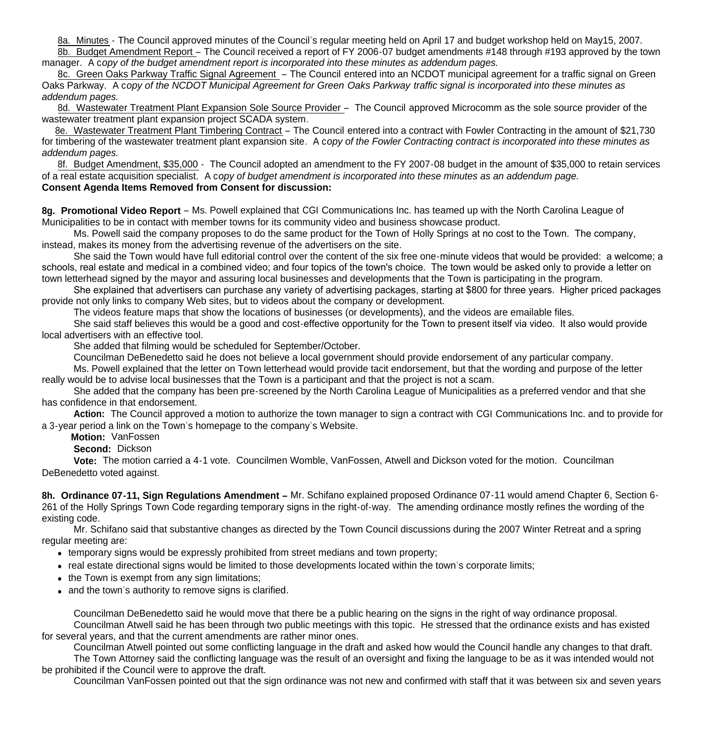8a. Minutes - The Council approved minutes of the Council's regular meeting held on April 17 and budget workshop held on May15, 2007.

 8b. Budget Amendment Report – The Council received a report of FY 2006-07 budget amendments #148 through #193 approved by the town manager. A c*opy of the budget amendment report is incorporated into these minutes as addendum pages.*

 8c. Green Oaks Parkway Traffic Signal Agreement – The Council entered into an NCDOT municipal agreement for a traffic signal on Green Oaks Parkway. A c*opy of the NCDOT Municipal Agreement for Green Oaks Parkway traffic signal is incorporated into these minutes as addendum pages.*

8d. Wastewater Treatment Plant Expansion Sole Source Provider – The Council approved Microcomm as the sole source provider of the wastewater treatment plant expansion project SCADA system.

 8e. Wastewater Treatment Plant Timbering Contract – The Council entered into a contract with Fowler Contracting in the amount of \$21,730 for timbering of the wastewater treatment plant expansion site. A c*opy of the Fowler Contracting contract is incorporated into these minutes as addendum pages.*

8f. Budget Amendment, \$35,000 - The Council adopted an amendment to the FY 2007-08 budget in the amount of \$35,000 to retain services of a real estate acquisition specialist. A c*opy of budget amendment is incorporated into these minutes as an addendum page.* **Consent Agenda Items Removed from Consent for discussion:**

**8g. Promotional Video Report** – Ms. Powell explained that CGI Communications Inc. has teamed up with the North Carolina League of Municipalities to be in contact with member towns for its community video and business showcase product.

 Ms. Powell said the company proposes to do the same product for the Town of Holly Springs at no cost to the Town. The company, instead, makes its money from the advertising revenue of the advertisers on the site.

 She said the Town would have full editorial control over the content of the six free one-minute videos that would be provided: a welcome; a schools, real estate and medical in a combined video; and four topics of the town's choice. The town would be asked only to provide a letter on town letterhead signed by the mayor and assuring local businesses and developments that the Town is participating in the program.

 She explained that advertisers can purchase any variety of advertising packages, starting at \$800 for three years. Higher priced packages provide not only links to company Web sites, but to videos about the company or development.

The videos feature maps that show the locations of businesses (or developments), and the videos are emailable files.

 She said staff believes this would be a good and cost-effective opportunity for the Town to present itself via video. It also would provide local advertisers with an effective tool.

She added that filming would be scheduled for September/October.

Councilman DeBenedetto said he does not believe a local government should provide endorsement of any particular company.

 Ms. Powell explained that the letter on Town letterhead would provide tacit endorsement, but that the wording and purpose of the letter really would be to advise local businesses that the Town is a participant and that the project is not a scam.

 She added that the company has been pre-screened by the North Carolina League of Municipalities as a preferred vendor and that she has confidence in that endorsement.

 **Action:** The Council approved a motion to authorize the town manager to sign a contract with CGI Communications Inc. and to provide for a 3-year period a link on the Town's homepage to the company's Website.

**Motion:** VanFossen

**Second:** Dickson

 **Vote:** The motion carried a 4-1 vote. Councilmen Womble, VanFossen, Atwell and Dickson voted for the motion. Councilman DeBenedetto voted against.

**8h. Ordinance 07-11, Sign Regulations Amendment –** Mr. Schifano explained proposed Ordinance 07-11 would amend Chapter 6, Section 6- 261 of the Holly Springs Town Code regarding temporary signs in the right-of-way. The amending ordinance mostly refines the wording of the existing code.

 Mr. Schifano said that substantive changes as directed by the Town Council discussions during the 2007 Winter Retreat and a spring regular meeting are:

- temporary signs would be expressly prohibited from street medians and town property;
- real estate directional signs would be limited to those developments located within the town's corporate limits;
- the Town is exempt from any sign limitations;
- and the town's authority to remove signs is clarified.

 Councilman DeBenedetto said he would move that there be a public hearing on the signs in the right of way ordinance proposal. Councilman Atwell said he has been through two public meetings with this topic. He stressed that the ordinance exists and has existed for several years, and that the current amendments are rather minor ones.

 Councilman Atwell pointed out some conflicting language in the draft and asked how would the Council handle any changes to that draft. The Town Attorney said the conflicting language was the result of an oversight and fixing the language to be as it was intended would not be prohibited if the Council were to approve the draft.

Councilman VanFossen pointed out that the sign ordinance was not new and confirmed with staff that it was between six and seven years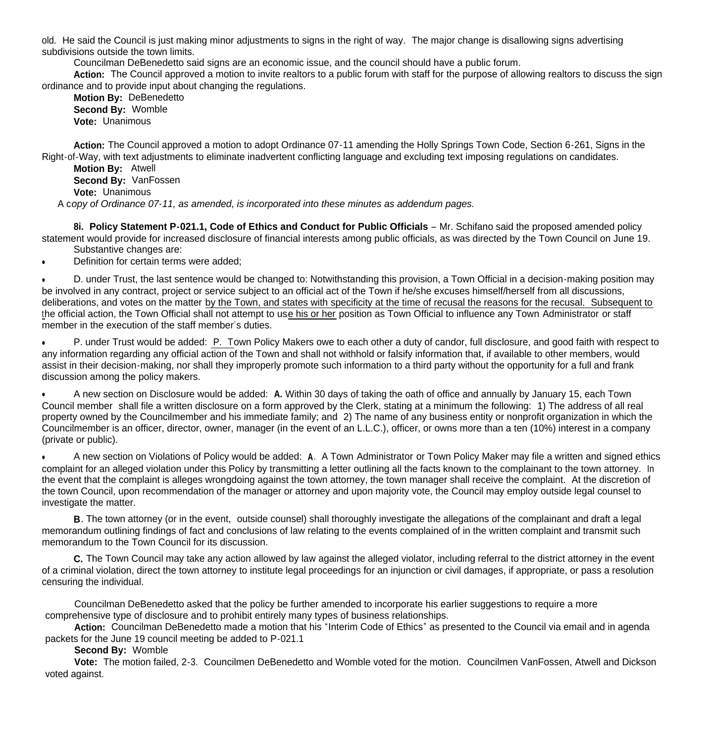old. He said the Council is just making minor adjustments to signs in the right of way. The major change is disallowing signs advertising subdivisions outside the town limits.

Councilman DeBenedetto said signs are an economic issue, and the council should have a public forum.

 **Action:** The Council approved a motion to invite realtors to a public forum with staff for the purpose of allowing realtors to discuss the sign ordinance and to provide input about changing the regulations.

 **Motion By:** DeBenedetto **Second By:** Womble **Vote:** Unanimous

**Action:** The Council approved a motion to adopt Ordinance 07-11 amending the Holly Springs Town Code, Section 6-261, Signs in the Right-of-Way, with text adjustments to eliminate inadvertent conflicting language and excluding text imposing regulations on candidates.

 **Motion By:** Atwell **Second By:** VanFossen **Vote:** Unanimous A c*opy of Ordinance 07-11, as amended, is incorporated into these minutes as addendum pages.*

8i. Policy Statement P-021.1, Code of Ethics and Conduct for Public Officials – Mr. Schifano said the proposed amended policy statement would provide for increased disclosure of financial interests among public officials, as was directed by the Town Council on June 19. Substantive changes are:

Definition for certain terms were added;

 D. under Trust, the last sentence would be changed to: Notwithstanding this provision, a Town Official in a decision-making position may be involved in any contract, project or service subject to an official act of the Town if he/she excuses himself/herself from all discussions, deliberations, and votes on the matter by the Town, and states with specificity at the time of recusal the reasons for the recusal. Subsequent to the official action, the Town Official shall not attempt to use his or her position as Town Official to influence any Town Administrator or staff member in the execution of the staff member's duties.

• P. under Trust would be added: P. Town Policy Makers owe to each other a duty of candor, full disclosure, and good faith with respect to any information regarding any official action of the Town and shall not withhold or falsify information that, if available to other members, would assist in their decision-making, nor shall they improperly promote such information to a third party without the opportunity for a full and frank discussion among the policy makers.

 A new section on Disclosure would be added: **A.** Within 30 days of taking the oath of office and annually by January 15, each Town Council member shall file a written disclosure on a form approved by the Clerk, stating at a minimum the following: 1) The address of all real property owned by the Councilmember and his immediate family; and 2) The name of any business entity or nonprofit organization in which the Councilmember is an officer, director, owner, manager (in the event of an L.L.C.), officer, or owns more than a ten (10%) interest in a company (private or public).

 A new section on Violations of Policy would be added: **A**. A Town Administrator or Town Policy Maker may file a written and signed ethics complaint for an alleged violation under this Policy by transmitting a letter outlining all the facts known to the complainant to the town attorney. In the event that the complaint is alleges wrongdoing against the town attorney, the town manager shall receive the complaint. At the discretion of the town Council, upon recommendation of the manager or attorney and upon majority vote, the Council may employ outside legal counsel to investigate the matter.

 **B**. The town attorney (or in the event, outside counsel) shall thoroughly investigate the allegations of the complainant and draft a legal memorandum outlining findings of fact and conclusions of law relating to the events complained of in the written complaint and transmit such memorandum to the Town Council for its discussion.

 **C.** The Town Council may take any action allowed by law against the alleged violator, including referral to the district attorney in the event of a criminal violation, direct the town attorney to institute legal proceedings for an injunction or civil damages, if appropriate, or pass a resolution censuring the individual.

 Councilman DeBenedetto asked that the policy be further amended to incorporate his earlier suggestions to require a more comprehensive type of disclosure and to prohibit entirely many types of business relationships.

 **Action:** Councilman DeBenedetto made a motion that his "Interim Code of Ethics" as presented to the Council via email and in agenda packets for the June 19 council meeting be added to P-021.1

**Second By:** Womble

 **Vote:** The motion failed, 2-3. Councilmen DeBenedetto and Womble voted for the motion. Councilmen VanFossen, Atwell and Dickson voted against.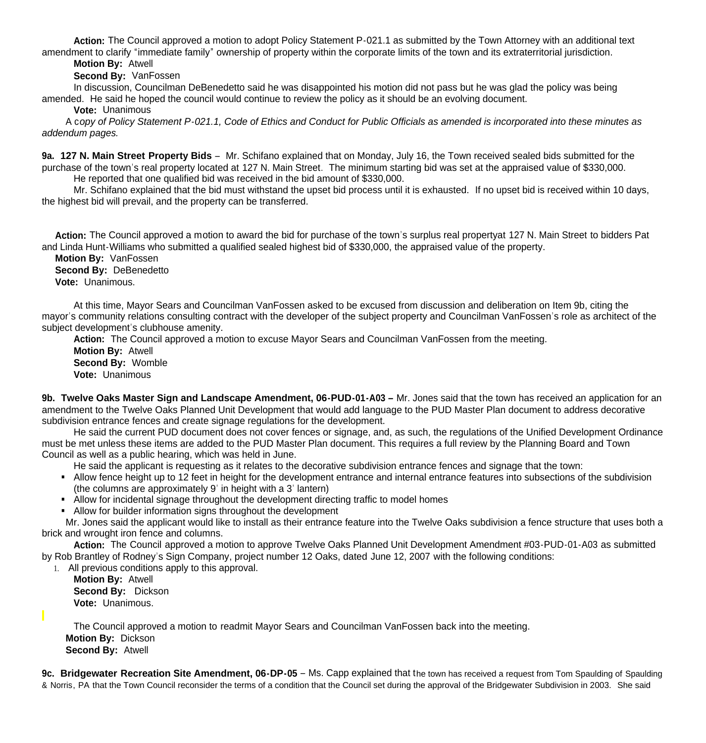**Action:** The Council approved a motion to adopt Policy Statement P-021.1 as submitted by the Town Attorney with an additional text amendment to clarify "immediate family" ownership of property within the corporate limits of the town and its extraterritorial jurisdiction.

**Motion By:** Atwell

**Second By:** VanFossen

 In discussion, Councilman DeBenedetto said he was disappointed his motion did not pass but he was glad the policy was being amended. He said he hoped the council would continue to review the policy as it should be an evolving document.

**Vote:** Unanimous

 A c*opy of Policy Statement P-021.1, Code of Ethics and Conduct for Public Officials as amended is incorporated into these minutes as addendum pages.*

**9a. 127 N. Main Street Property Bids** – Mr. Schifano explained that on Monday, July 16, the Town received sealed bids submitted for the purchase of the town's real property located at 127 N. Main Street. The minimum starting bid was set at the appraised value of \$330,000. He reported that one qualified bid was received in the bid amount of \$330,000.

 Mr. Schifano explained that the bid must withstand the upset bid process until it is exhausted. If no upset bid is received within 10 days, the highest bid will prevail, and the property can be transferred.

 **Action:** The Council approved a motion to award the bid for purchase of the town's surplus real propertyat 127 N. Main Street to bidders Pat and Linda Hunt-Williams who submitted a qualified sealed highest bid of \$330,000, the appraised value of the property.

 **Motion By:** VanFossen **Second By: DeBenedetto Vote:** Unanimous.

At this time, Mayor Sears and Councilman VanFossen asked to be excused from discussion and deliberation on Item 9b, citing the mayor's community relations consulting contract with the developer of the subject property and Councilman VanFossen's role as architect of the subject development's clubhouse amenity.

**Action:** The Council approved a motion to excuse Mayor Sears and Councilman VanFossen from the meeting.

 **Motion By:** Atwell **Second By:** Womble **Vote:** Unanimous

**9b.** Twelve Oaks Master Sign and Landscape Amendment, 06-PUD-01-A03 – Mr. Jones said that the town has received an application for an amendment to the Twelve Oaks Planned Unit Development that would add language to the PUD Master Plan document to address decorative subdivision entrance fences and create signage regulations for the development.

 He said the current PUD document does not cover fences or signage, and, as such, the regulations of the Unified Development Ordinance must be met unless these items are added to the PUD Master Plan document. This requires a full review by the Planning Board and Town Council as well as a public hearing, which was held in June.

He said the applicant is requesting as it relates to the decorative subdivision entrance fences and signage that the town:

- Allow fence height up to 12 feet in height for the development entrance and internal entrance features into subsections of the subdivision (the columns are approximately 9' in height with a 3' lantern)
- Allow for incidental signage throughout the development directing traffic to model homes
- Allow for builder information signs throughout the development

 Mr. Jones said the applicant would like to install as their entrance feature into the Twelve Oaks subdivision a fence structure that uses both a brick and wrought iron fence and columns.

 **Action:** The Council approved a motion to approve Twelve Oaks Planned Unit Development Amendment #03-PUD-01-A03 as submitted by Rob Brantley of Rodney's Sign Company, project number 12 Oaks, dated June 12, 2007 with the following conditions:

1. All previous conditions apply to this approval. **Motion By:** Atwell

 **Second By:** Dickson **Vote:** Unanimous.

The Council approved a motion to readmit Mayor Sears and Councilman VanFossen back into the meeting.  **Motion By:** Dickson  **Second By:** Atwell

**9c. Bridgewater Recreation Site Amendment, 06-DP-05** – Ms. Capp explained that the town has received a request from Tom Spaulding of Spaulding & Norris, PA that the Town Council reconsider the terms of a condition that the Council set during the approval of the Bridgewater Subdivision in 2003. She said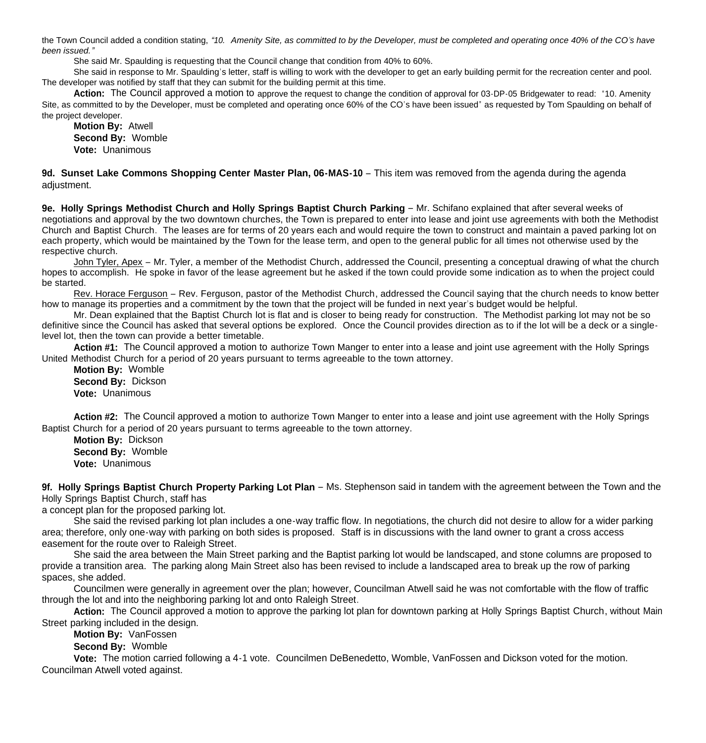the Town Council added a condition stating, *"10. Amenity Site, as committed to by the Developer, must be completed and operating once 40% of the CO's have been issued."*

She said Mr. Spaulding is requesting that the Council change that condition from 40% to 60%.

 She said in response to Mr. Spaulding's letter, staff is willing to work with the developer to get an early building permit for the recreation center and pool. The developer was notified by staff that they can submit for the building permit at this time.

**Action:** The Council approved a motion to approve the request to change the condition of approval for 03-DP-05 Bridgewater to read: "10. Amenity Site, as committed to by the Developer, must be completed and operating once 60% of the CO's have been issued" as requested by Tom Spaulding on behalf of the project developer.

**Motion By:** Atwell **Second By:** Womble **Vote:** Unanimous

**9d. Sunset Lake Commons Shopping Center Master Plan, 06-MAS-10** – This item was removed from the agenda during the agenda adjustment.

**9e. Holly Springs Methodist Church and Holly Springs Baptist Church Parking** – Mr. Schifano explained that after several weeks of negotiations and approval by the two downtown churches, the Town is prepared to enter into lease and joint use agreements with both the Methodist Church and Baptist Church. The leases are for terms of 20 years each and would require the town to construct and maintain a paved parking lot on each property, which would be maintained by the Town for the lease term, and open to the general public for all times not otherwise used by the respective church.

 John Tyler, Apex – Mr. Tyler, a member of the Methodist Church, addressed the Council, presenting a conceptual drawing of what the church hopes to accomplish. He spoke in favor of the lease agreement but he asked if the town could provide some indication as to when the project could be started.

 Rev. Horace Ferguson – Rev. Ferguson, pastor of the Methodist Church, addressed the Council saying that the church needs to know better how to manage its properties and a commitment by the town that the project will be funded in next year's budget would be helpful.

 Mr. Dean explained that the Baptist Church lot is flat and is closer to being ready for construction. The Methodist parking lot may not be so definitive since the Council has asked that several options be explored. Once the Council provides direction as to if the lot will be a deck or a singlelevel lot, then the town can provide a better timetable.

**Action #1:** The Council approved a motion to authorize Town Manger to enter into a lease and joint use agreement with the Holly Springs United Methodist Church for a period of 20 years pursuant to terms agreeable to the town attorney.

 **Motion By:** Womble **Second By:** Dickson **Vote:** Unanimous

**Action #2:** The Council approved a motion to authorize Town Manger to enter into a lease and joint use agreement with the Holly Springs Baptist Church for a period of 20 years pursuant to terms agreeable to the town attorney.

 **Motion By:** Dickson **Second By:** Womble **Vote:** Unanimous

**9f. Holly Springs Baptist Church Property Parking Lot Plan** – Ms. Stephenson said in tandem with the agreement between the Town and the Holly Springs Baptist Church, staff has

a concept plan for the proposed parking lot.

 She said the revised parking lot plan includes a one-way traffic flow. In negotiations, the church did not desire to allow for a wider parking area; therefore, only one-way with parking on both sides is proposed. Staff is in discussions with the land owner to grant a cross access easement for the route over to Raleigh Street.

 She said the area between the Main Street parking and the Baptist parking lot would be landscaped, and stone columns are proposed to provide a transition area. The parking along Main Street also has been revised to include a landscaped area to break up the row of parking spaces, she added.

 Councilmen were generally in agreement over the plan; however, Councilman Atwell said he was not comfortable with the flow of traffic through the lot and into the neighboring parking lot and onto Raleigh Street.

 **Action:** The Council approved a motion to approve the parking lot plan for downtown parking at Holly Springs Baptist Church, without Main Street parking included in the design.

**Motion By:** VanFossen

**Second By:** Womble

 **Vote:** The motion carried following a 4-1 vote. Councilmen DeBenedetto, Womble, VanFossen and Dickson voted for the motion. Councilman Atwell voted against.